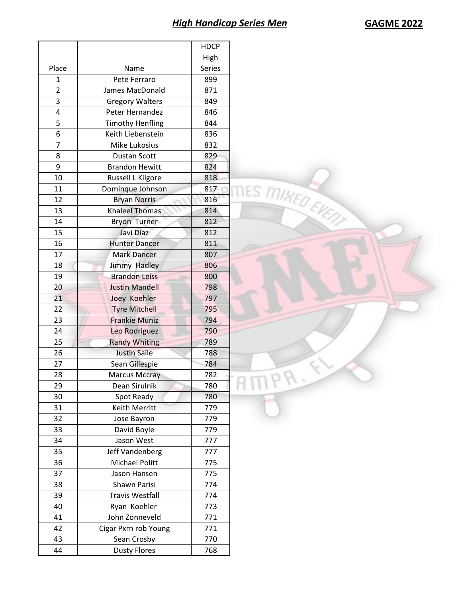|                |                         | <b>HDCP</b> |
|----------------|-------------------------|-------------|
|                |                         | High        |
| Place          | Name                    | Series      |
| 1              | Pete Ferraro            | 899         |
| $\overline{2}$ | James MacDonald         | 871         |
| 3              | <b>Gregory Walters</b>  | 849         |
| 4              | Peter Hernandez         | 846         |
| 5              | <b>Timothy Henfling</b> | 844         |
| 6              | Keith Liebenstein       | 836         |
| 7              | <b>Mike Lukosius</b>    | 832         |
| 8              | Dustan Scott            | 829         |
| 9              | <b>Brandon Hewitt</b>   | 824         |
| 10             | Russell L Kilgore       | 818         |
| 11             | Dominque Johnson        | 817         |
| 12             | <b>Bryan Norris</b>     | 816         |
| 13             | Khaleel Thomas          | 814         |
| 14             | <b>Bryon Turner</b>     | 812         |
| 15             | Javi Diaz               | 812         |
| 16             | <b>Hunter Dancer</b>    | 811         |
| 17             | <b>Mark Dancer</b>      | 807         |
| 18             | Jimmy Hadley            | 806         |
| 19             | <b>Brandon Leiss</b>    | 800         |
| 20             | <b>Justin Mandell</b>   | 798         |
|                |                         |             |
| 21             | Joey Koehler            | 797         |
| 22             | <b>Tyre Mitchell</b>    | 795         |
| 23             | <b>Frankie Muniz</b>    | 794         |
| 24             | Leo Rodriguez           | 790         |
| 25             | <b>Randy Whiting</b>    | 789         |
| 26             | <b>Justin Saile</b>     | 788         |
| 27             | Sean Gillespie          | 784         |
| 28             | <b>Marcus Mccray</b>    | 782         |
| 29             | Dean Sirulnik           | 780         |
| 30             | Spot Ready              | 780         |
| 31             | Keith Merritt           | 779         |
| 32             | Jose Bayron             | 779         |
| 33             | David Boyle             | 779         |
| 34             | Jason West              | 777         |
| 35             | Jeff Vandenberg         | 777         |
| 36             | Michael Politt          | 775         |
| 37             | Jason Hansen            | 775         |
| 38             | Shawn Parisi            | 774         |
| 39             | <b>Travis Westfall</b>  | 774         |
| 40             | Ryan Koehler            | 773         |
| 41             | John Zonneveld          | 771         |
| 42             | Cigar Pxrn rob Young    | 771         |
| 43             | Sean Crosby             | 770         |
| 44             | <b>Dusty Flores</b>     | 768         |
|                |                         |             |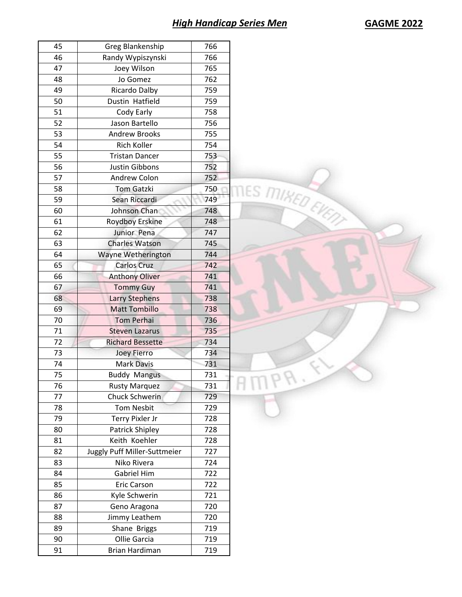## **High Handicap Series Men**

| <b>GAGME 2022</b> |  |  |
|-------------------|--|--|
|-------------------|--|--|

| 45 | Greg Blankenship             | 766 |
|----|------------------------------|-----|
| 46 | Randy Wypiszynski            | 766 |
| 47 | Joey Wilson                  | 765 |
| 48 | Jo Gomez                     | 762 |
| 49 | Ricardo Dalby                | 759 |
| 50 | Dustin Hatfield              | 759 |
| 51 | Cody Early                   | 758 |
| 52 | Jason Bartello               | 756 |
| 53 | <b>Andrew Brooks</b>         | 755 |
| 54 | <b>Rich Koller</b>           | 754 |
| 55 | <b>Tristan Dancer</b>        | 753 |
| 56 | <b>Justin Gibbons</b>        | 752 |
| 57 | Andrew Colon                 | 752 |
| 58 | <b>Tom Gatzki</b>            | 750 |
| 59 | Sean Riccardi                | 749 |
| 60 | Johnson Chan                 | 748 |
| 61 | <b>Roydboy Erskine</b>       | 748 |
| 62 | Junior Pena                  | 747 |
| 63 | <b>Charles Watson</b>        | 745 |
| 64 | Wayne Wetherington           | 744 |
| 65 | Carlos Cruz                  | 742 |
| 66 | <b>Anthony Oliver</b>        | 741 |
| 67 | <b>Tommy Guy</b>             | 741 |
| 68 | <b>Larry Stephens</b>        | 738 |
| 69 | <b>Matt Tombillo</b>         | 738 |
| 70 | <b>Tom Perhai</b>            | 736 |
| 71 | <b>Steven Lazarus</b>        | 735 |
| 72 | <b>Richard Bessette</b>      | 734 |
| 73 | <b>Joey Fierro</b>           | 734 |
| 74 | <b>Mark Davis</b>            | 731 |
| 75 | <b>Buddy Mangus</b>          | 731 |
| 76 | <b>Rusty Marquez</b>         | 731 |
| 77 | Chuck Schwerin               | 729 |
| 78 | <b>Tom Nesbit</b>            | 729 |
| 79 | Terry Pixler Jr              | 728 |
| 80 | Patrick Shipley              | 728 |
| 81 | Keith Koehler                | 728 |
| 82 | Juggly Puff Miller-Suttmeier | 727 |
| 83 | Niko Rivera                  | 724 |
| 84 | <b>Gabriel Him</b>           | 722 |
| 85 | <b>Eric Carson</b>           | 722 |
| 86 | Kyle Schwerin                | 721 |
| 87 | Geno Aragona                 | 720 |
| 88 | Jimmy Leathem                | 720 |
| 89 |                              | 719 |
|    | Shane Briggs                 |     |
| 90 | Ollie Garcia                 | 719 |
| 91 | Brian Hardiman               | 719 |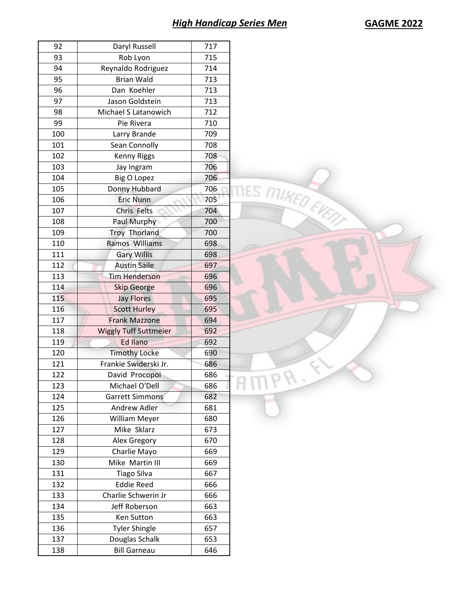## *High Handicap Series Men* **GAGME 2022**

| 92  | Daryl Russell                | 717 |
|-----|------------------------------|-----|
| 93  | Rob Lyon                     | 715 |
| 94  | Reynaldo Rodriguez           | 714 |
| 95  | <b>Brian Wald</b>            | 713 |
| 96  | Dan Koehler                  | 713 |
| 97  | Jason Goldstein              | 713 |
| 98  | Michael S Latanowich         | 712 |
| 99  | Pie Rivera                   | 710 |
| 100 | Larry Brande                 | 709 |
| 101 | Sean Connolly                | 708 |
| 102 | <b>Kenny Riggs</b>           | 708 |
| 103 | Jay Ingram                   | 706 |
| 104 | <b>Big O Lopez</b>           | 706 |
| 105 | Donny Hubbard                | 706 |
| 106 | <b>Eric Nunn</b>             | 705 |
| 107 | Chris Felts                  | 704 |
| 108 | Paul Murphy                  | 700 |
| 109 | Troy Thorland                | 700 |
| 110 | Ramos Williams               | 698 |
| 111 | <b>Gary Willis</b>           | 698 |
| 112 | <b>Austin Saile</b>          | 697 |
| 113 | <b>Tim Henderson</b>         | 696 |
| 114 | <b>Skip George</b>           | 696 |
| 115 | <b>Jay Flores</b>            | 695 |
| 116 |                              |     |
|     | <b>Scott Hurley</b>          | 695 |
| 117 | <b>Frank Mazzone</b>         | 694 |
| 118 | <b>Wiggly Tuff Suttmeier</b> | 692 |
| 119 | <b>Ed Ilano</b>              | 692 |
| 120 | <b>Timothy Locke</b>         | 690 |
| 121 | Frankie Swiderski Jr.        | 686 |
| 122 | David Procopoi               | 686 |
| 123 | Michael O'Dell               | 686 |
| 124 | <b>Garrett Simmons</b>       | 682 |
| 125 | Andrew Adler                 | 681 |
| 126 | <b>William Meyer</b>         | 680 |
| 127 | Mike Sklarz                  | 673 |
| 128 | Alex Gregory                 | 670 |
| 129 | Charlie Mayo                 | 669 |
| 130 | Mike Martin III              | 669 |
| 131 | <b>Tiago Silva</b>           | 667 |
| 132 | <b>Eddie Reed</b>            | 666 |
| 133 | Charlie Schwerin Jr          | 666 |
| 134 | Jeff Roberson                | 663 |
| 135 | Ken Sutton                   | 663 |
| 136 | <b>Tyler Shingle</b>         | 657 |
| 137 | Douglas Schalk               | 653 |
| 138 | <b>Bill Garneau</b>          | 646 |
|     |                              |     |